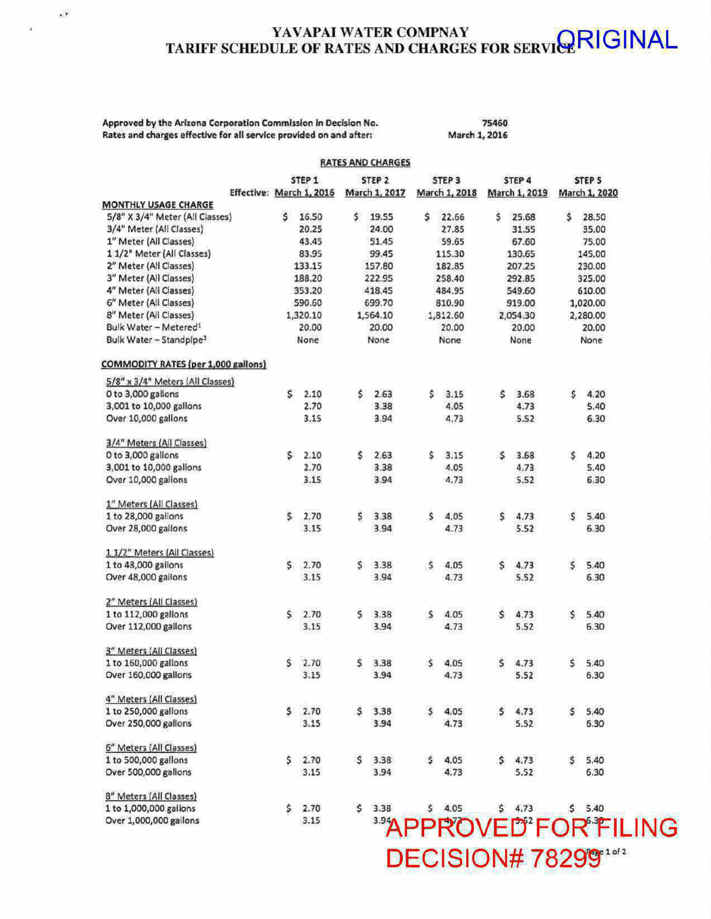# YAVAPAI WATER COMPNAY<br>TARIFF SCHEDULE OF RATES AND CHARGES FOR SERVICE RETAIL

| Approved by the Arizona Corporation Commission in Decision No.     | 75460         |
|--------------------------------------------------------------------|---------------|
| Rates and charges effective for all service provided on and after: | March 1, 2016 |

 $\epsilon$ 

|                                            |     |                          |     | <b>RATES AND CHARGES</b> |     |                   |     |               |                             |
|--------------------------------------------|-----|--------------------------|-----|--------------------------|-----|-------------------|-----|---------------|-----------------------------|
|                                            |     | STEP <sub>1</sub>        |     | STEP <sub>2</sub>        |     | STEP <sub>3</sub> |     | STEP 4        | <b>STEP 5</b>               |
|                                            |     | Effective: March 1, 2016 |     | March 1, 2017            |     | March 1, 2018     |     | March 1, 2019 | March 1, 2020               |
| <b>MONTHLY USAGE CHARGE</b>                |     |                          |     |                          |     |                   |     |               |                             |
| 5/8" X 3/4" Meter (All Classes)            | \$  | 16.50                    | \$  | 19.55                    | s   | 22.66             | \$  | 25.68         | \$<br>28.50                 |
| 3/4" Meter (All Classes)                   |     | 20.25                    |     | 24.00                    |     | 27.85             |     | 31.55         | 35.00                       |
| 1" Meter (All Classes)                     |     | 43.45                    |     | 51.45                    |     | 59.65             |     | 67.60         | 75.00                       |
| 1 1/2" Meter (All Classes)                 |     | 83.95                    |     | 99.45                    |     | 115.30            |     | 130.65        | 145.00                      |
| 2" Meter (All Classes)                     |     | 133.15                   |     | 157.80                   |     | 182.85            |     | 207.25        | 230.00                      |
| 3" Meter (All Classes)                     |     | 188.20                   |     | 222.95                   |     | 258.40            |     | 292.85        | 325.00                      |
| 4" Meter (All Classes)                     |     | 353.20                   |     | 418.45                   |     | 484.95            |     | 549.60        | 610.00                      |
| 6" Meter (All Classes)                     |     | 590.60                   |     | 699.70                   |     | 810.90            |     | 919.00        | 1,020.00                    |
| 8" Meter (All Classes)                     |     | 1,320.10                 |     | 1,564.10                 |     | 1,812.60          |     | 2,054.30      | 2,280.00                    |
| Bulk Water - Metered <sup>1</sup>          |     | 20.00                    |     | 20.00                    |     | 20.00             |     | 20.00         | 20.00                       |
| Bulk Water - Standplpe <sup>2</sup>        |     | None                     |     | None                     |     | None              |     | None          | None                        |
| <b>COMMODITY RATES (per 1,000 gallons)</b> |     |                          |     |                          |     |                   |     |               |                             |
| 5/8" x 3/4" Meters (All Classes)           |     |                          |     |                          |     |                   |     |               |                             |
| 0 to 3,000 gallons                         | \$  | 2.10                     | \$  | 2.63                     | s.  | 3.15              | \$  | 3.68          | \$<br>4.20                  |
| 3,001 to 10,000 gallons                    |     | 2.70                     |     | 3.38                     |     | 4.05              |     | 4.73          | 5.40                        |
| Over 10,000 gallons                        |     | 3.15                     |     | 3.94                     |     | 4.73              |     | 5.52          | 6.30                        |
| 3/4" Meters (All Classes)                  |     |                          |     |                          |     |                   |     |               |                             |
| 0 to 3,000 gallons                         | \$. | 2.10                     | \$  | 2.63                     | Ś.  | 3.15              | \$  | 3.68          | \$<br>4.20                  |
| 3,001 to 10,000 gallons                    |     | 2.70                     |     | 3.38                     |     | 4.05              |     | 4.73          | 5.40                        |
| Over 10,000 gallons                        |     | 3.15                     |     | 3.94                     |     | 4.73              |     | 5.52          | 6,30                        |
| 1" Meters (All Classes)                    |     |                          |     |                          |     |                   |     |               |                             |
| 1 to 28,000 gallons                        | \$  | 2.70                     | \$  | 3.38                     | \$  | 4.05              | \$  | 4.73          | \$<br>5.40                  |
| Over 28,000 gallons                        |     | 3.15                     |     | 3.94                     |     | 4.73              |     | 5.52          | 6.30                        |
| 1 1/2" Meters (All Classes)                |     |                          |     |                          |     |                   |     |               |                             |
| 1 to 48,000 gallons                        | \$  | 2.70                     | \$  | 3.38                     | \$  | 4.05              | \$  | 4.73          | \$<br>5.40                  |
| Over 48,000 gailons                        |     | 3.15                     |     | 3.94                     |     | 4.73              |     | 5.52          | 6.30                        |
| 2" Meters (All Classes)                    |     |                          |     |                          |     |                   |     |               |                             |
| 1 to 112,000 gallons                       | \$. | 2.70                     | \$  | 3.38                     | \$  | 4.05              | \$  | 4.73          | \$<br>5.40                  |
| Over 112,000 gallons                       |     | 3.15                     |     | 3.94                     |     | 4.73              |     | 5.52          | 6.30                        |
| 3" Meters (All Classes)                    |     |                          |     |                          |     |                   |     |               |                             |
| 1 to 160,000 gallons                       | \$  | 2.70                     | \$  | 3.38                     | \$  | 4.05              | \$  | 4.73          | \$<br>5.40                  |
| Over 160,000 gallons                       |     | 3.15                     |     | 3.94                     |     | 4.73              |     | 5.52          | 6.30                        |
| 4" Meters (All Classes)                    |     |                          |     |                          |     |                   |     |               |                             |
| 1 to 250,000 gallons                       | \$  | 2.70                     | \$. | 3.38                     | Ś.  | 4.05              | \$  | 4.73          | \$<br>5.40                  |
| Over 250,000 gallons                       |     | 3.15                     |     | 3.94                     |     | 4.73              |     | 5.52          | 6.30                        |
| 6" Meters (All Classes)                    |     |                          |     |                          |     |                   |     |               |                             |
| 1 to 500,000 gallons                       | Ŝ.  | 2.70                     | s   | 3.38                     | \$. | 4.05              | \$  | 4.73          | \$<br>5.40                  |
| Over 500,000 gallons                       |     | 3.15                     |     | 3.94                     |     | 4.73              |     | 5.52          | 6.30                        |
| 8" Meters (All Classes)                    |     |                          |     |                          |     |                   |     |               |                             |
| 1 to 1,000,000 gallons                     | \$  | 2.70                     | \$  | 3.38                     | \$  | 4.05              | \$. | 4.73          | \$<br>5.40                  |
| Over 1,000,000 gallons                     |     | 3.15                     |     |                          |     |                   |     |               | <b>"APPROVED FOR FILING</b> |

**DECISION# 78299**